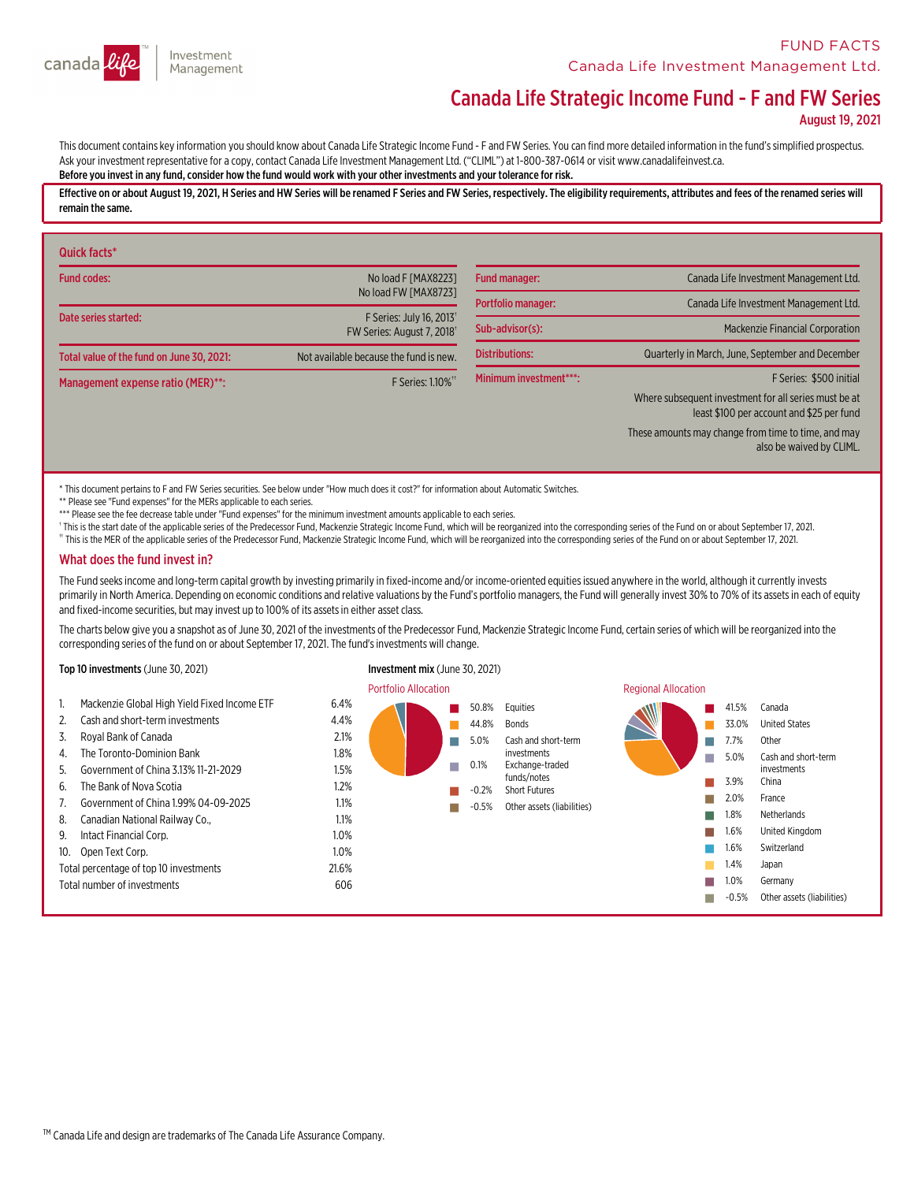

# Investment canada Management

# Canada Life Strategic Income Fund - F and FW Series

August 19, 2021

This document contains key information you should know about Canada Life Strategic Income Fund - F and FW Series. You can find more detailed information in the fund's simplified prospectus.<br>Ask your investment representati Before you invest in any fund, consider how the fund would work with your other investments and your tolerance for risk.

Effective on or about August 19, 2021, H Series and HW Series will be renamed F Series and FW Series, respectively. The eligibility requirements, attributes and fees of the renamed series will remain the same.

| Quick facts*                              |                                                      |                        |                                                                                                    |
|-------------------------------------------|------------------------------------------------------|------------------------|----------------------------------------------------------------------------------------------------|
| <b>Fund codes:</b>                        | No load F [MAX8223]                                  | <b>Fund manager:</b>   | Canada Life Investment Management Ltd.                                                             |
|                                           | No load FW [MAX8723]                                 | Portfolio manager:     | Canada Life Investment Management Ltd.                                                             |
| Date series started:                      | F Series: July 16, 2013<br>FW Series: August 7, 2018 | Sub-advisor(s):        | <b>Mackenzie Financial Corporation</b>                                                             |
| Total value of the fund on June 30, 2021: | Not available because the fund is new.               | <b>Distributions:</b>  | Quarterly in March, June, September and December                                                   |
| Management expense ratio (MER)**:         | F Series: 1.10% <sup>**</sup>                        | Minimum investment***: | F Series: \$500 initial                                                                            |
|                                           |                                                      |                        | Where subsequent investment for all series must be at<br>least \$100 per account and \$25 per fund |
|                                           |                                                      |                        | These amounts may change from time to time, and may<br>also be waived by CLIML.                    |

\* This document pertains to F and FW Series securities. See below under "How much does it cost?" for information about Automatic Switches.

\*\* Please see "Fund expenses" for the MERs applicable to each series.

\*\*\* Please see the fee decrease table under "Fund expenses" for the minimum investment amounts applicable to each series.

This is the start date of the applicable series of the Predecessor Fund, Mackenzie Strategic Income Fund, which will be reorganized into the corresponding series of the Fund on or about September 17, 2021.

†† This is the MER of the applicable series of the Predecessor Fund, Mackenzie Strategic Income Fund, which will be reorganized into the corresponding series of the Fund on or about September 17, 2021.

#### What does the fund invest in?

The Fund seeks income and long-term capital growth by investing primarily in fixed-income and/or income-oriented equities issued anywhere in the world, although it currently invests in each of equity primarily in North Ame

The charts below give you a snapshot as of June 30, 2021 of the investments of the Predecessor Fund, Mackenzie Strategic Income Fund, certain series of which will be reorganized into the corresponding series of the fund on or about September 17, 2021. The fund's investments will change.

#### Top 10 investments (June 30, 2021) Investment mix (June 30, 2021)

#### Portfolio Allocation **Regional Allocation** Regional Allocation 1. Mackenzie Global High Yield Fixed Income ETF 6.4% 2. Cash and short-term investments 4.4% 3. Royal Bank of Canada 2.1% 4. The Toronto-Dominion Bank 1.8% 5. Government of China 3.13% 11-21-2029 1.5% 6. The Bank of Nova Scotia 1.2% 7. Government of China 1.99% 04-09-2025 1.1% 8. Canadian National Railway Co., 1.1% 9. Intact Financial Corp.  $1.0\%$ 10. Open Text Corp. 1.0% Total percentage of top 10 investments 21.6% Total number of investments 606 n 50.8% Equities n 44.8% Bonds n 5.0% Cash and short-term investments n 0.1% Exchange-traded funds/notes n -0.2% Short Futures n -0.5% Other assets (liabilities) n 41.5% Canada 33.0% United States n 7.7% Other n 5.0% Cash and short-term investments n 3.9% China n 2.0% France n 1.8% Netherlands n 1.6% United Kingdom n 1.6% Switzerland 1.4% Japan n 1.0% Germany n-0.5% Other assets (liabilities)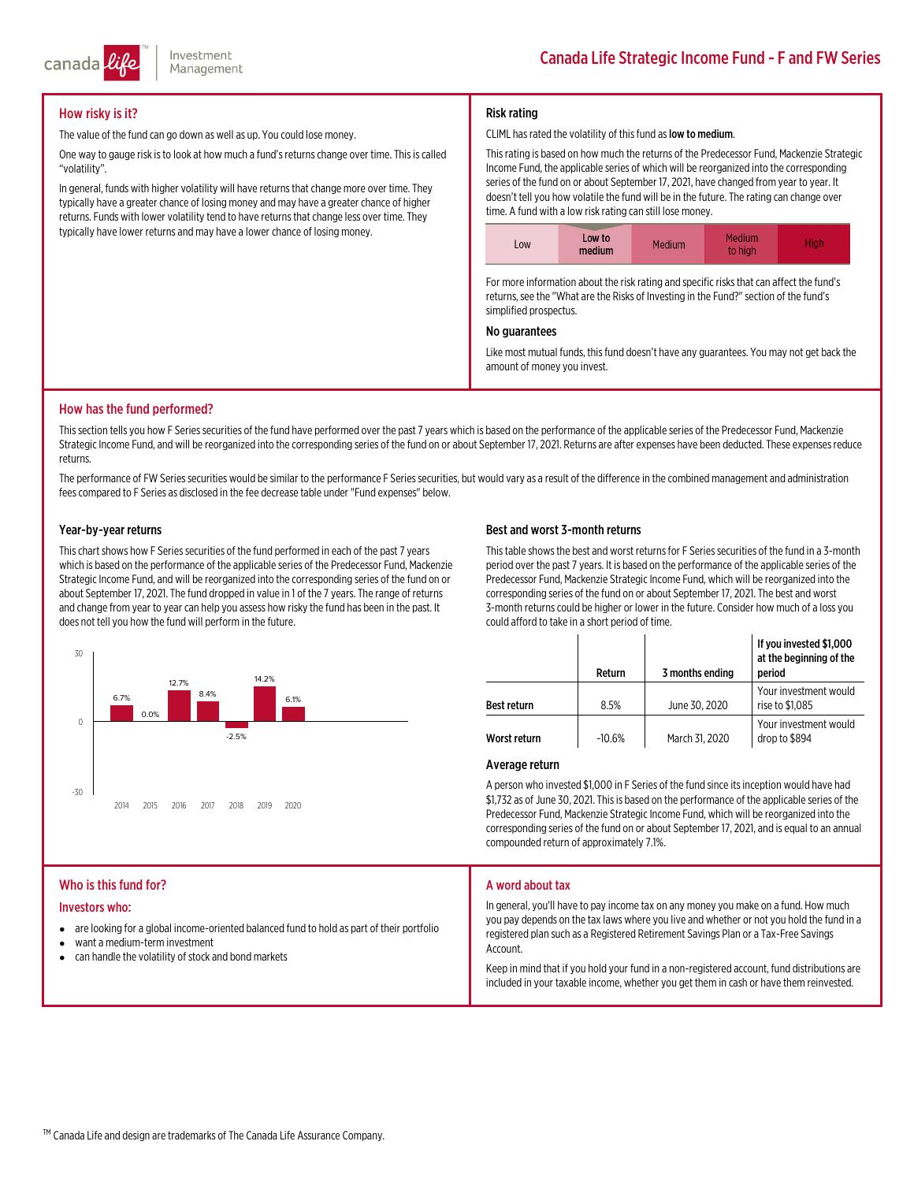

# How risky is it?

The value of the fund can go down as well as up. You could lose money.

One way to gauge risk is to look at how much a fund's returns change over time. This is called "volatility".

In general, funds with higher volatility will have returns that change more over time. They typically have a greater chance of losing money and may have a greater chance of higher returns. Funds with lower volatility tend to have returns that change less over time. They typically have lower returns and may have a lower chance of losing money.

## Risk rating

#### CLIML has rated the volatility of this fund as low to medium.

Thisrating is based on how much the returns of the Predecessor Fund, Mackenzie Strategic Income Fund, the applicable series of which will be reorganized into the corresponding series of the fund on or about September 17, 2021, have changed from year to year. It doesn't tell you how volatile the fund will be in the future. The rating can change over time. A fund with a low risk rating can still lose money.

| Low to<br>LOW<br>medium | Medium<br>Medium<br>to high | High |
|-------------------------|-----------------------------|------|
|-------------------------|-----------------------------|------|

For more information about the risk rating and specific risks that can affect the fund's returns, see the "What are the Risks of Investing in the Fund?" section of the fund's simplified prospectus.

#### No guarantees

Like most mutual funds, this fund doesn't have any guarantees. You may not get back the amount of money you invest.

#### How has the fund performed?

This section tells you how F Series securities of the fund have performed over the past 7 years which is based on the performance of the applicable series of the Predecessor Fund, Mackenzie<br>Strategic Income Fund, and will returns.

The performance of FW Series securities would be similar to the performance F Series securities, but would vary as a result of the difference in the combined management and administration fees compared to F Series as disclosed in the fee decrease table under "Fund expenses" below.

#### Year-by-year returns

This chart shows how F Series securities of the fund performed in each of the past 7 years<br>which is based on the performance of the applicable series of the Predecessor Fund, Mackenzie<br>Strategic Income Fund, and will be re



#### Best and worst 3-month returns

This table shows the best and worst returns for F Series securities of the fund in a 3-month<br>period over the past 7 years. It is based on the performance of the applicable series of the<br>Predecessor Fund, Mackenzie Strategi corresponding series of the fund on or about September 17, 2021. The best and worst 3-month returns could be higher or lower in the future. Consider how much of a loss you could afford to take in a short period of time.

|                    | Return   | 3 months ending | If you invested \$1,000<br>at the beginning of the<br>period |
|--------------------|----------|-----------------|--------------------------------------------------------------|
| <b>Best return</b> | 8.5%     | June 30, 2020   | Your investment would<br>rise to \$1,085                     |
| Worst return       | $-10.6%$ | March 31, 2020  | Your investment would<br>drop to \$894                       |

#### Average return

A person who invested \$1,000 in F Series of the fund since its inception would have had<br>\$1,732 as of June 30, 2021. This is based on the performance of the applicable series of the<br>Predecessor Fund, Mackenzie Strategic Inc corresponding series of the fund on or about September 17, 2021, and is equal to an annual compounded return of approximately 7.1%.

#### Who is this fund for?

#### Investors who:

- $\bullet$ are looking for a global income-oriented balanced fund to hold as part of their portfolio
- $\bullet$ want a medium-terminvestment
- $\bullet$ can handle the volatility of stock and bond markets

#### A word about tax

In general, you'll have to pay income tax on any money you make on <sup>a</sup> fund. How much you pay depends on the tax laws where you live and whether or not you hold the fund in <sup>a</sup> registered plan such as a Registered Retirement Savings Plan or a Tax-Free Savings<br>Account.

Keep in mind that if you hold your fund in a non-registered account, fund distributions are included in your taxable income, whether you get them in cash or have them reinvested.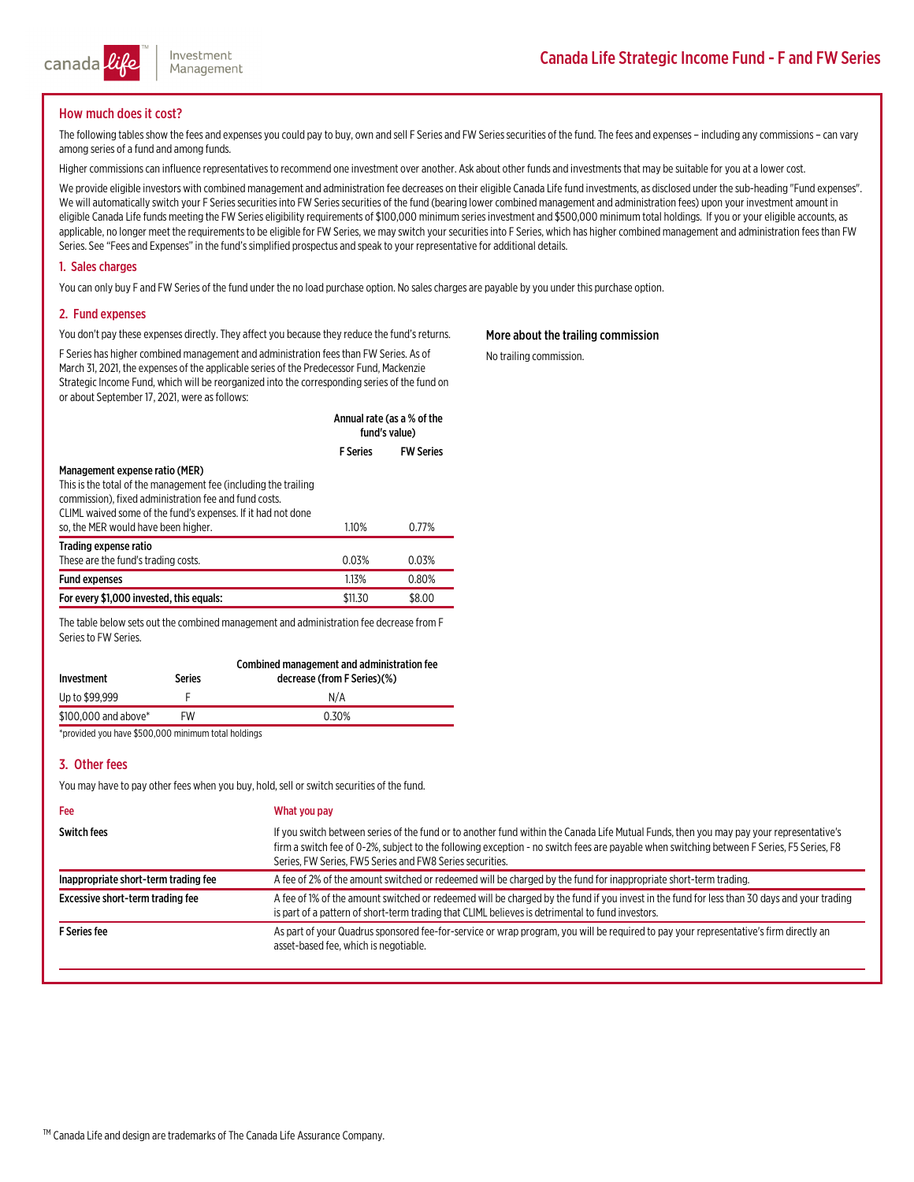

### How much does it cost?

The following tables show the fees and expenses you could pay to buy, own and sell F Series and FW Series securities of the fund. The fees and expenses - including any commissions - can vary among series of a fund among fu

Higher commissions can influence representatives to recommend one investment over another. Ask about other funds and investments that may be suitable for you at a lower cost.

We provide eligible investors with combined management and administration fee decreases on their eligible Canada Life fund investments, as disclosed under the sub-heading "Fund expenses".<br>We will automatically switch your

#### 1. Sales charges

You can only buy F and FW Series of the fund under the no load purchase option. No sales charges are payable by you under this purchase option.

#### 2. Fund expenses

You don't pay these expenses directly. They affect you because they reduce the fund's returns.

F Series has higher combined management and administration fees than FW Series. As of March 31, 2021, the expenses of the applicable series of the Predecessor Fund, Mackenzie Strategic Income Fund, which will be reorganize

|                                                                 | Annual rate (as a % of the<br>fund's value) |                  |
|-----------------------------------------------------------------|---------------------------------------------|------------------|
|                                                                 | <b>F</b> Series                             | <b>FW Series</b> |
| Management expense ratio (MER)                                  |                                             |                  |
| This is the total of the management fee (including the trailing |                                             |                  |
| commission), fixed administration fee and fund costs.           |                                             |                  |
| CLIML waived some of the fund's expenses. If it had not done    |                                             |                  |

| so, the MER would have been higher.      | 1.10%   | 0.77%  |
|------------------------------------------|---------|--------|
| Trading expense ratio                    |         |        |
| These are the fund's trading costs.      | 0.03%   | 0.03%  |
| <b>Fund expenses</b>                     | 1.13%   | 0.80%  |
| For every \$1,000 invested, this equals: | \$11.30 | \$8.00 |

The table below sets out the combined management and administration fee decrease from F<br>Series to FW Series.

| Investment           | <b>Series</b> | Combined management and administration fee<br>decrease (from F Series)(%) |
|----------------------|---------------|---------------------------------------------------------------------------|
| Up to \$99,999       |               | N/A                                                                       |
| \$100,000 and above* | FW            | 0.30%                                                                     |

\*provided you have \$500,000 minimum total holdings

## 3. Other fees

You may have to pay other fees when you buy, hold, sell or switch securities of the fund.

| <b>Fee</b>                           | What you pay                                                                                                                                                                                                                                                                                                                                     |
|--------------------------------------|--------------------------------------------------------------------------------------------------------------------------------------------------------------------------------------------------------------------------------------------------------------------------------------------------------------------------------------------------|
| <b>Switch fees</b>                   | If you switch between series of the fund or to another fund within the Canada Life Mutual Funds, then you may pay your representative's<br>firm a switch fee of 0-2%, subject to the following exception - no switch fees are payable when switching between F Series, F5 Series, F8<br>Series, FW Series, FW5 Series and FW8 Series securities. |
| Inappropriate short-term trading fee | A fee of 2% of the amount switched or redeemed will be charged by the fund for inappropriate short-term trading.                                                                                                                                                                                                                                 |
| Excessive short-term trading fee     | A fee of 1% of the amount switched or redeemed will be charged by the fund if you invest in the fund for less than 30 days and your trading<br>is part of a pattern of short-term trading that CLIML believes is detrimental to fund investors.                                                                                                  |
| <b>F</b> Series fee                  | As part of your Quadrus sponsored fee-for-service or wrap program, you will be required to pay your representative's firm directly an<br>asset-based fee, which is negotiable.                                                                                                                                                                   |

### More about the trailing commission

No trailing commission.